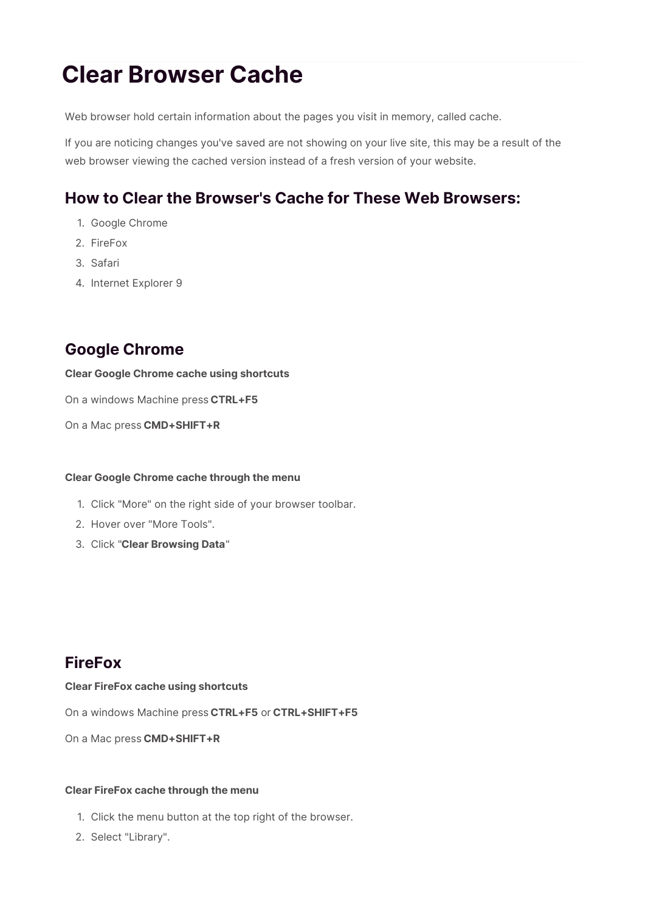# **Clear Browser Cache**

Web browser hold certain information about the pages you visit in memory, called cache.

If you are noticing changes you've saved are not showing on your live site, this may be a result of the web browser viewing the cached version instead of a fresh version of your website.

# **How to Clear the Browser's Cache for These Web Browsers:**

- 1. Google Chrome
- 2. FireFox
- 3. Safari
- 4. Internet Explorer 9

# **Google Chrome**

### **Clear Google Chrome cache using shortcuts**

On a windows Machine press **CTRL+F5**

On a Mac press **CMD+SHIFT+R**

### **Clear Google Chrome cache through the menu**

- 1. Click "More" on the right side of your browser toolbar.
- 2. Hover over "More Tools".
- 3. Click "**Clear Browsing Data**"

# **FireFox**

#### **Clear FireFox cache using shortcuts**

On a windows Machine press **CTRL+F5** or **CTRL+SHIFT+F5**

On a Mac press **CMD+SHIFT+R**

### **Clear FireFox cache through the menu**

- 1. Click the menu button at the top right of the browser.
- 2. Select "Library".